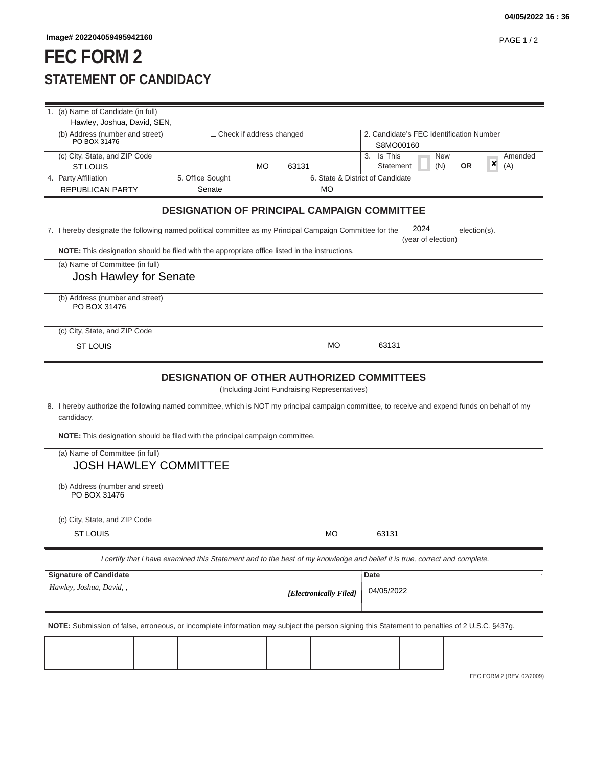## **FEC FORM 2 STATEMENT OF CANDIDACY**

| 1. (a) Name of Candidate (in full)                                                                                                                                                                                                                                                                                                                                |                                                                                                                                                           |       |                        |                                                       |  |  |  |  |  |
|-------------------------------------------------------------------------------------------------------------------------------------------------------------------------------------------------------------------------------------------------------------------------------------------------------------------------------------------------------------------|-----------------------------------------------------------------------------------------------------------------------------------------------------------|-------|------------------------|-------------------------------------------------------|--|--|--|--|--|
| Hawley, Joshua, David, SEN,                                                                                                                                                                                                                                                                                                                                       |                                                                                                                                                           |       |                        |                                                       |  |  |  |  |  |
| (b) Address (number and street)<br>PO BOX 31476                                                                                                                                                                                                                                                                                                                   | $\Box$ Check if address changed                                                                                                                           |       |                        | 2. Candidate's FEC Identification Number<br>S8MO00160 |  |  |  |  |  |
| (c) City, State, and ZIP Code                                                                                                                                                                                                                                                                                                                                     |                                                                                                                                                           |       |                        | 3. Is This<br><b>New</b><br>Amended                   |  |  |  |  |  |
| <b>ST LOUIS</b>                                                                                                                                                                                                                                                                                                                                                   | МO                                                                                                                                                        | 63131 |                        | ×<br>(N)<br><b>OR</b><br>(A)<br>Statement             |  |  |  |  |  |
| 4. Party Affiliation                                                                                                                                                                                                                                                                                                                                              | 5. Office Sought                                                                                                                                          |       |                        | 6. State & District of Candidate                      |  |  |  |  |  |
| REPUBLICAN PARTY                                                                                                                                                                                                                                                                                                                                                  | Senate                                                                                                                                                    |       | <b>MO</b>              |                                                       |  |  |  |  |  |
| <b>DESIGNATION OF PRINCIPAL CAMPAIGN COMMITTEE</b>                                                                                                                                                                                                                                                                                                                |                                                                                                                                                           |       |                        |                                                       |  |  |  |  |  |
|                                                                                                                                                                                                                                                                                                                                                                   | 2024<br>7. I hereby designate the following named political committee as my Principal Campaign Committee for the<br>$election(s)$ .<br>(year of election) |       |                        |                                                       |  |  |  |  |  |
| <b>NOTE:</b> This designation should be filed with the appropriate office listed in the instructions.                                                                                                                                                                                                                                                             |                                                                                                                                                           |       |                        |                                                       |  |  |  |  |  |
| (a) Name of Committee (in full)                                                                                                                                                                                                                                                                                                                                   |                                                                                                                                                           |       |                        |                                                       |  |  |  |  |  |
|                                                                                                                                                                                                                                                                                                                                                                   | Josh Hawley for Senate                                                                                                                                    |       |                        |                                                       |  |  |  |  |  |
| (b) Address (number and street)<br>PO BOX 31476                                                                                                                                                                                                                                                                                                                   |                                                                                                                                                           |       |                        |                                                       |  |  |  |  |  |
| (c) City, State, and ZIP Code                                                                                                                                                                                                                                                                                                                                     |                                                                                                                                                           |       |                        |                                                       |  |  |  |  |  |
| <b>ST LOUIS</b>                                                                                                                                                                                                                                                                                                                                                   |                                                                                                                                                           |       | <b>MO</b>              | 63131                                                 |  |  |  |  |  |
| (Including Joint Fundraising Representatives)<br>8. I hereby authorize the following named committee, which is NOT my principal campaign committee, to receive and expend funds on behalf of my<br>candidacy.<br>NOTE: This designation should be filed with the principal campaign committee.<br>(a) Name of Committee (in full)<br><b>JOSH HAWLEY COMMITTEE</b> |                                                                                                                                                           |       |                        |                                                       |  |  |  |  |  |
| (b) Address (number and street)<br>PO BOX 31476                                                                                                                                                                                                                                                                                                                   |                                                                                                                                                           |       |                        |                                                       |  |  |  |  |  |
| (c) City, State, and ZIP Code                                                                                                                                                                                                                                                                                                                                     |                                                                                                                                                           |       |                        |                                                       |  |  |  |  |  |
| <b>ST LOUIS</b>                                                                                                                                                                                                                                                                                                                                                   |                                                                                                                                                           |       | <b>MO</b>              | 63131                                                 |  |  |  |  |  |
| I certify that I have examined this Statement and to the best of my knowledge and belief it is true, correct and complete.                                                                                                                                                                                                                                        |                                                                                                                                                           |       |                        |                                                       |  |  |  |  |  |
| <b>Signature of Candidate</b>                                                                                                                                                                                                                                                                                                                                     |                                                                                                                                                           |       |                        | Date                                                  |  |  |  |  |  |
| Hawley, Joshua, David, ,                                                                                                                                                                                                                                                                                                                                          |                                                                                                                                                           |       | [Electronically Filed] | 04/05/2022                                            |  |  |  |  |  |
| NOTE: Submission of false, erroneous, or incomplete information may subject the person signing this Statement to penalties of 2 U.S.C. §437g.                                                                                                                                                                                                                     |                                                                                                                                                           |       |                        |                                                       |  |  |  |  |  |
|                                                                                                                                                                                                                                                                                                                                                                   |                                                                                                                                                           |       |                        |                                                       |  |  |  |  |  |
|                                                                                                                                                                                                                                                                                                                                                                   |                                                                                                                                                           |       |                        |                                                       |  |  |  |  |  |

FEC FORM 2 (REV. 02/2009)